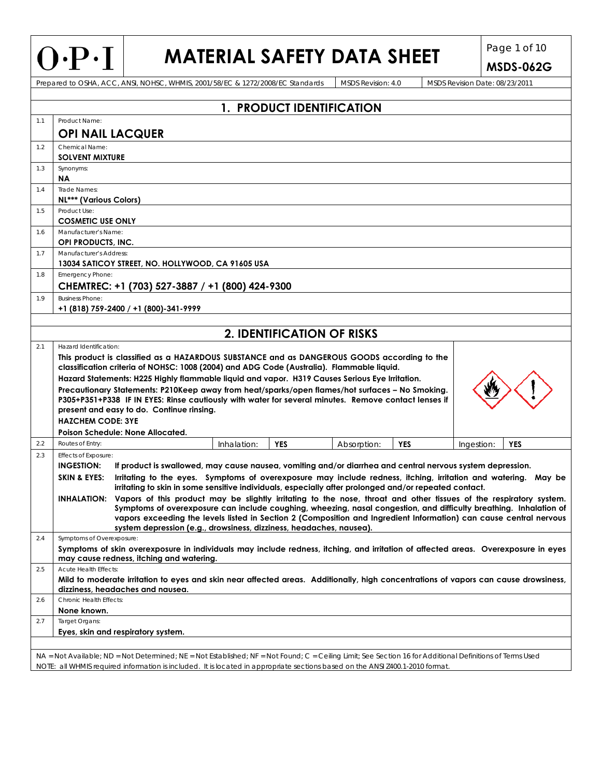## **MATERIAL SAFETY DATA SHEET** Page 1 of 10

**MSDS-062G**  Prepared to OSHA, ACC, ANSI, NOHSC, WHMIS, 2001/58/EC & 1272/2008/EC Standards MSDS Revision: 4.0 MSDS Revision Date: 08/23/2011 **1. PRODUCT IDENTIFICATION** 1.1 Product Name: **OPI NAIL LACQUER** 1.2 Chemical Name: **SOLVENT MIXTURE**  1.3 Synonyms: **NA**  1.4 Trade Names: **NL\*\*\* (Various Colors)**  1.5 Product Use: **COSMETIC USE ONLY**  1.6 Manufacturer's Name **OPI PRODUCTS, INC.**  1.7 Manufacturer's Addres **13034 SATICOY STREET, NO. HOLLYWOOD, CA 91605 USA**  1.8 Emergency Phone: **CHEMTREC: +1 (703) 527-3887 / +1 (800) 424-9300**  1.9 Business Phone: **+1 (818) 759-2400 / +1 (800)-341-9999 2. IDENTIFICATION OF RISKS** 2.1 **Hazard Identification This product is classified as a HAZARDOUS SUBSTANCE and as DANGEROUS GOODS according to the classification criteria of NOHSC: 1008 (2004) and ADG Code (Australia). Flammable liquid. Hazard Statements: H225 Highly flammable liquid and vapor. H319 Causes Serious Eye Irritation. Precautionary Statements: P210Keep away from heat/sparks/open flames/hot surfaces – No Smoking. P305+P351+P338 IF IN EYES: Rinse cautiously with water for several minutes. Remove contact lenses if present and easy to do. Continue rinsing. HAZCHEM CODE: 3YE Poison Schedule: None Allocated.** 2.2 Routes of Entry: **Inhalation: INHALATION: <b>PES** Absorption: **PES** Ingestion: **YES INES** 2.3 **Effects of Exposure: INGESTION: If product is swallowed, may cause nausea, vomiting and/or diarrhea and central nervous system depression. SKIN & EYES: Irritating to the eyes. Symptoms of overexposure may include redness, itching, irritation and watering. May be irritating to skin in some sensitive individuals, especially after prolonged and/or repeated contact. INHALATION: Vapors of this product may be slightly irritating to the nose, throat and other tissues of the respiratory system. Symptoms of overexposure can include coughing, wheezing, nasal congestion, and difficulty breathing. Inhalation of vapors exceeding the levels listed in Section 2 (Composition and Ingredient Information) can cause central nervous system depression (e.g., drowsiness, dizziness, headaches, nausea).**  2.4 Symptoms of Overexposure: **Symptoms of skin overexposure in individuals may include redness, itching, and irritation of affected areas. Overexposure in eyes may cause redness, itching and watering.**  2.5 Acute Health Effects: **Mild to moderate irritation to eyes and skin near affected areas. Additionally, high concentrations of vapors can cause drowsiness, dizziness, headaches and nausea.**  2.6 Chronic Health Effects: **None known.**  2.7 Target Organs: **Eyes, skin and respiratory system.** 

NA = Not Available; ND = Not Determined; NE = Not Established; NF = Not Found; C = Ceiling Limit; See Section 16 for Additional Definitions of Terms Used NOTE: all WHMIS required information is included. It is located in appropriate sections based on the ANSI Z400.1-2010 format.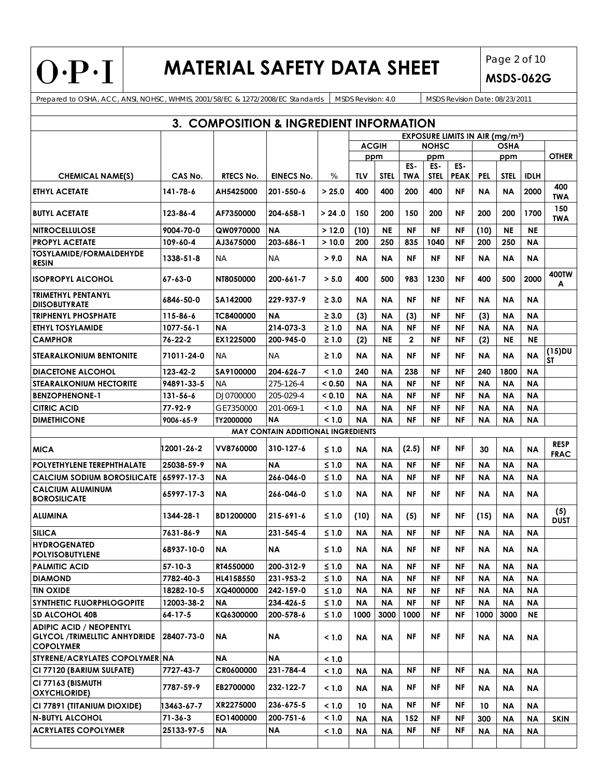$O \cdot P \cdot I$ 

## **MATERIAL SAFETY DATA SHEET** Page 2 of 10

**MSDS-062G**

Prepared to OSHA, ACC, ANSI, NOHSC, WHMIS, 2001/58/EC & 1272/2008/EC Standards MSDS Revision: 4.0 MSDS Revision Date: 08/23/2011

| 3. COMPOSITION & INGREDIENT INFORMATION                                                   |                |                  |                                           |            |              |             |                                       |                    |                    |           |             |             |                        |
|-------------------------------------------------------------------------------------------|----------------|------------------|-------------------------------------------|------------|--------------|-------------|---------------------------------------|--------------------|--------------------|-----------|-------------|-------------|------------------------|
|                                                                                           |                |                  |                                           |            |              |             | <b>EXPOSURE LIMITS IN AIR (mg/m3)</b> |                    |                    |           |             |             |                        |
|                                                                                           |                |                  |                                           |            | <b>ACGIH</b> |             | <b>NOHSC</b>                          |                    |                    | OSHA      |             |             |                        |
|                                                                                           |                |                  |                                           |            | ppm          |             |                                       | ppm                |                    |           | ppm         |             | <b>OTHER</b>           |
| <b>CHEMICAL NAME(S)</b>                                                                   | CAS No.        | <b>RTECS No.</b> | <b>EINECS No.</b>                         | $\%$       | TLV          | <b>STEL</b> | ES-<br><b>TWA</b>                     | ES-<br><b>STEL</b> | ES-<br><b>PEAK</b> | PEL       | <b>STEL</b> | <b>IDLH</b> |                        |
| <b>ETHYL ACETATE</b>                                                                      | 141-78-6       | AH5425000        | 201-550-6                                 | > 25.0     | 400          | 400         | 200                                   | 400                | NF                 | ΝA        | ΝA          | 2000        | 400<br>TWA             |
| <b>BUTYL ACETATE</b>                                                                      | 123-86-4       | AF7350000        | 204-658-1                                 | > 24.0     | 150          | 200         | 150                                   | 200                | <b>NF</b>          | 200       | 200         | 1700        | 150<br>TWA             |
| <b>NITROCELLULOSE</b>                                                                     | 9004-70-0      | QW0970000        | <b>NA</b>                                 | >12.0      | (10)         | <b>NE</b>   | <b>NF</b>                             | NF                 | NF                 | (10)      | <b>NE</b>   | <b>NE</b>   |                        |
| <b>PROPYL ACETATE</b>                                                                     | 109-60-4       | AJ3675000        | 203-686-1                                 | >10.0      | 200          | 250         | 835                                   | 1040               | <b>NF</b>          | 200       | 250         | <b>NA</b>   |                        |
| <b>TOSYLAMIDE/FORMALDEHYDE</b><br><b>RESIN</b>                                            | 1338-51-8      | ΝA               | NA                                        | > 9.0      | ΝA           | ΝA          | <b>NF</b>                             | NF                 | ΝF                 | ΝA        | ΝA          | ΝA          |                        |
| <b>ISOPROPYL ALCOHOL</b>                                                                  | 67-63-0        | NT8050000        | 200-661-7                                 | > 5.0      | 400          | 500         | 983                                   | 1230               | NF                 | 400       | 500         | 2000        | 400TW<br>A             |
| <b>TRIMETHYL PENTANYL</b><br><b>DIISOBUTYRATE</b>                                         | 6846-50-0      | SA142000         | 229-937-9                                 | $\geq 3.0$ | ΝA           | ΝA          | <b>NF</b>                             | ΝF                 | NF                 | ΝA        | <b>NA</b>   | <b>NA</b>   |                        |
| <b>TRIPHENYL PHOSPHATE</b>                                                                | 115-86-6       | TC8400000        | <b>NA</b>                                 | $\geq 3.0$ | (3)          | ΝA          | (3)                                   | NF                 | NF                 | (3)       | <b>NA</b>   | ΝA          |                        |
| <b>ETHYL TOSYLAMIDE</b>                                                                   | 1077-56-1      | <b>NA</b>        | 214-073-3                                 | $\geq 1.0$ | <b>NA</b>    | ΝA          | <b>NF</b>                             | <b>NF</b>          | <b>NF</b>          | ΝA        | <b>NA</b>   | ΝA          |                        |
| <b>CAMPHOR</b>                                                                            | 76-22-2        | EX1225000        | 200-945-0                                 | $\geq 1.0$ | (2)          | <b>NE</b>   | $\mathbf{2}$                          | NF                 | NF                 | (2)       | ΝE          | <b>NE</b>   |                        |
| <b>STEARALKONIUM BENTONITE</b>                                                            | 71011-24-0     | ΝA               | NA.                                       | $\geq 1.0$ | ΝA           | ΝA          | ΝF                                    | ΝF                 | NF                 | ΝA        | <b>NA</b>   | <b>NA</b>   | $(15)$ DU<br><b>ST</b> |
| <b>DIACETONE ALCOHOL</b>                                                                  | 123-42-2       | <b>SA9100000</b> | 204-626-7                                 | < 1.0      | 240          | ΝA          | 238                                   | NF                 | NF                 | 240       | 1800        | <b>NA</b>   |                        |
| <b>STEARALKONIUM HECTORITE</b>                                                            | 94891-33-5     | ΝA               | 275-126-4                                 | < 0.50     | <b>NA</b>    | <b>NA</b>   | <b>NF</b>                             | <b>NF</b>          | <b>NF</b>          | <b>NA</b> | <b>NA</b>   | <b>NA</b>   |                        |
| <b>BENZOPHENONE-1</b>                                                                     | $131 - 56 - 6$ | <b>DJ0700000</b> | 205-029-4                                 | 0.10       | ΝA           | ΝA          | ΝF                                    | NF                 | <b>NF</b>          | ΝA        | <b>NA</b>   | <b>NA</b>   |                        |
| <b>CITRIC ACID</b>                                                                        | 77-92-9        | <i>GE7350000</i> | 201-069-1                                 | < 1.0      | NΑ           | ΝA          | ΝF                                    | NF                 | NF                 | ΝA        | NA          | ΝA          |                        |
| <b>DIMETHICONE</b>                                                                        | 9006-65-9      | TY2000000        | <b>NA</b>                                 | < 1.0      | ΝA           | ΝA          | ΝF                                    | ΝF                 | NF                 | ΝA        | <b>NA</b>   | ΝA          |                        |
|                                                                                           |                |                  | <b>MAY CONTAIN ADDITIONAL INGREDIENTS</b> |            |              |             |                                       |                    |                    |           |             |             |                        |
| <b>MICA</b>                                                                               | 12001-26-2     | <b>VV8760000</b> | 310-127-6                                 | $≤ 1.0$    | ΝA           | NA          | (2.5)                                 | NF                 | NF                 | 30        | <b>NA</b>   | <b>NA</b>   | <b>RESP</b><br>FRAC    |
| <b>POLYETHYLENE TEREPHTHALATE</b>                                                         | 25038-59-9     | NA               | <b>NA</b>                                 | $≤ 1.0$    | ΝA           | ΝA          | <b>NF</b>                             | <b>NF</b>          | <b>NF</b>          | ΝA        | <b>NA</b>   | <b>NA</b>   |                        |
| <b>CALCIUM SODIUM BOROSILICATE</b>                                                        | 65997-17-3     | ΝA               | 266-046-0                                 | $≤ 1.0$    | ΝA           | ΝA          | <b>NF</b>                             | NF                 | NF                 | ΝA        | <b>NA</b>   | ΝA          |                        |
| <b>CALCIUM ALUMINUM</b><br><b>BOROSILICATE</b>                                            | 65997-17-3     | NA.              | 266-046-0                                 | $≤ 1.0$    | ΝA           | NA          | NF                                    | NF                 | NF                 | ΝA        | <b>NA</b>   | NA          |                        |
| <b>ALUMINA</b>                                                                            | 1344-28-1      | BD1200000        | 215-691-6                                 | $≤ 1.0$    | (10)         | ΝA          | (5)                                   | ΝF                 | NF                 | (15)      | ΝA          | ΝA          | (5)<br><b>DUST</b>     |
| <b>SILICA</b>                                                                             | 7631-86-9      | NΑ               | 231-545-4                                 | $≤ 1.0$    | NΑ           | ΝA          | ΝF                                    | NF                 | NF                 | ΝA        | ΝA          | ΝA          |                        |
| <b>HYDROGENATED</b><br><b>POLYISOBUTYLENE</b>                                             | 68937-10-0     | ΝA               | ΝA                                        | ≤ 1.0      | NΑ           | ΝA          | ΝF                                    | ΝF                 | NF                 | ΝA        | ΝA          | ΝA          |                        |
| <b>PALMITIC ACID</b>                                                                      | 57-10-3        | RT4550000        | 200-312-9                                 | $≤ 1.0$    | NΑ           | ΝA          | ΝF                                    | NF                 | <b>NF</b>          | <b>NA</b> | ΝA          | <b>NA</b>   |                        |
| <b>DIAMOND</b>                                                                            | 7782-40-3      | HL4158550        | 231-953-2                                 | $≤ 1.0$    | NΑ           | ΝA          | NF                                    | <b>NF</b>          | <b>NF</b>          | <b>NA</b> | <b>NA</b>   | <b>NA</b>   |                        |
| <b>TIN OXIDE</b>                                                                          | 18282-10-5     | XQ4000000        | 242-159-0                                 | $≤ 1.0$    | <b>NA</b>    | ΝA          | ΝF                                    | NF                 | ΝF                 | ΝA        | ΝA          | <b>NA</b>   |                        |
| <b>SYNTHETIC FLUORPHLOGOPITE</b>                                                          | 12003-38-2     | ΝA               | 234-426-5                                 | $≤ 1.0$    | <b>NA</b>    | ΝA          | ΝF                                    | NF                 | ΝF                 | <b>NA</b> | ΝA          | <b>NA</b>   |                        |
| <b>SD ALCOHOL 40B</b>                                                                     | 64-17-5        | KQ6300000        | 200-578-6                                 | $≤ 1.0$    | 1000         | 3000        | 1000                                  | NF                 | ΝF                 | 1000      | 3000        | NE          |                        |
| <b>ADIPIC ACID / NEOPENTYL</b><br><b>GLYCOL /TRIMELLTIC ANHYDRIDE</b><br><b>COPOLYMER</b> | 28407-73-0     | ΝA               | <b>NA</b>                                 | < 1.0      | NΑ           | ΝA          | ΝF                                    | NF                 | NF                 | ΝA        | ΝA          | ΝA          |                        |
| STYRENE/ACRYLATES COPOLYMER NA                                                            |                | <b>NA</b>        | <b>NA</b>                                 | < 1.0      |              |             |                                       |                    |                    |           |             |             |                        |
| CI 77120 (BARIUM SULFATE)                                                                 | 7727-43-7      | CR0600000        | 231-784-4                                 | < 1.0      | ΝA           | <b>NA</b>   | ΝF                                    | NF                 | ΝF                 | <b>NA</b> | ΝA          | ΝA          |                        |
| CI 77163 (BISMUTH<br><b>OXYCHLORIDE)</b>                                                  | 7787-59-9      | EB2700000        | 232-122-7                                 | < 1.0      | NΑ           | ΝA          | ΝF                                    | ΝF                 | ΝF                 | ΝA        | ΝA          | ΝA          |                        |
| CI 77891 (TITANIUM DIOXIDE)                                                               | 13463-67-7     | XR2275000        | 236-675-5                                 | < 1.0      | 10           | ΝA          | ΝF                                    | NF                 | ΝF                 | 10        | ΝA          | ΝA          |                        |
| <b>N-BUTYL ALCOHOL</b>                                                                    | $71 - 36 - 3$  | EO1400000        | 200-751-6                                 | < 1.0      | ΝA           | <b>NA</b>   | 152                                   | NF                 | ΝF                 | 300       | ΝA          | <b>NA</b>   | <b>SKIN</b>            |
| <b>ACRYLATES COPOLYMER</b>                                                                | 25133-97-5     | ΝA               | <b>NA</b>                                 | < 1.0      | <b>NA</b>    | <b>NA</b>   | <b>NF</b>                             | NF                 | <b>NF</b>          | <b>NA</b> | ΝA          | <b>NA</b>   |                        |
|                                                                                           |                |                  |                                           |            |              |             |                                       |                    |                    |           |             |             |                        |
|                                                                                           |                |                  |                                           |            |              |             |                                       |                    |                    |           |             |             |                        |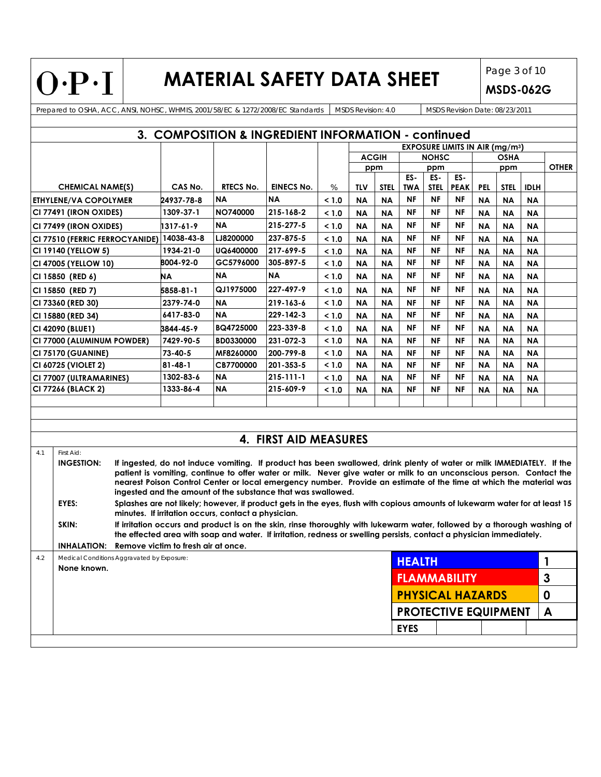$O \cdot P \cdot I$ 

## **MATERIAL SAFETY DATA SHEET** Page 3 of 10

**MSDS-062G**

Prepared to OSHA, ACC, ANSI, NOHSC, WHMIS, 2001/58/EC & 1272/2008/EC Standards MSDS Revision: 4.0 MSDS Revision Date: 08/23/2011

| 3. COMPOSITION & INGREDIENT INFORMATION - continued |                                                                                                                                                                                                                                                                                                                                                                                                                                                                        |         |                                     |                                                     |                                                                                                                                                                                                                                                  |              |             |                   |                             |                    |                                       |             |             |              |              |
|-----------------------------------------------------|------------------------------------------------------------------------------------------------------------------------------------------------------------------------------------------------------------------------------------------------------------------------------------------------------------------------------------------------------------------------------------------------------------------------------------------------------------------------|---------|-------------------------------------|-----------------------------------------------------|--------------------------------------------------------------------------------------------------------------------------------------------------------------------------------------------------------------------------------------------------|--------------|-------------|-------------------|-----------------------------|--------------------|---------------------------------------|-------------|-------------|--------------|--------------|
|                                                     |                                                                                                                                                                                                                                                                                                                                                                                                                                                                        |         |                                     |                                                     |                                                                                                                                                                                                                                                  |              |             |                   |                             |                    | <b>EXPOSURE LIMITS IN AIR (mg/m3)</b> |             |             |              |              |
|                                                     |                                                                                                                                                                                                                                                                                                                                                                                                                                                                        |         |                                     |                                                     |                                                                                                                                                                                                                                                  | <b>ACGIH</b> |             | <b>NOHSC</b>      |                             |                    | <b>OSHA</b>                           |             |             |              |              |
|                                                     |                                                                                                                                                                                                                                                                                                                                                                                                                                                                        |         |                                     |                                                     |                                                                                                                                                                                                                                                  |              | ppm         |                   | ppm                         |                    |                                       | ppm         |             | <b>OTHER</b> |              |
| <b>CHEMICAL NAME(S)</b>                             |                                                                                                                                                                                                                                                                                                                                                                                                                                                                        | CAS No. | <b>RTECS No.</b>                    | <b>EINECS No.</b>                                   | $\%$                                                                                                                                                                                                                                             | TLV          | <b>STEL</b> | ES-<br><b>TWA</b> | ES-<br><b>STEL</b>          | ES-<br><b>PEAK</b> | <b>PEL</b>                            | <b>STEL</b> | <b>IDLH</b> |              |              |
| ETHYLENE/VA COPOLYMER                               |                                                                                                                                                                                                                                                                                                                                                                                                                                                                        |         | 24937-78-8                          | <b>NA</b>                                           | <b>NA</b>                                                                                                                                                                                                                                        | < 1.0        | <b>NA</b>   | <b>NA</b>         | <b>NF</b>                   | NF                 | NF                                    | <b>NA</b>   | <b>NA</b>   | <b>NA</b>    |              |
| CI 77491 (IRON OXIDES)                              |                                                                                                                                                                                                                                                                                                                                                                                                                                                                        |         | 1309-37-1                           | NO740000                                            | 215-168-2                                                                                                                                                                                                                                        | < 1.0        | ΝA          | <b>NA</b>         | <b>NF</b>                   | NF                 | <b>NF</b>                             | <b>NA</b>   | ΝA          | ΝA           |              |
|                                                     | CI 77499 (IRON OXIDES)                                                                                                                                                                                                                                                                                                                                                                                                                                                 |         | 1317-61-9                           | ΝA                                                  | 215-277-5                                                                                                                                                                                                                                        | < 1.0        | ΝA          | <b>NA</b>         | NF                          | ΝF                 | ΝF                                    | ΝA          | ΝA          | <b>NA</b>    |              |
|                                                     | CI 77510 (FERRIC FERROCYANIDE)                                                                                                                                                                                                                                                                                                                                                                                                                                         |         | 14038-43-8                          | LJ8200000                                           | 237-875-5                                                                                                                                                                                                                                        | < 1.0        | <b>NA</b>   | <b>NA</b>         | <b>NF</b>                   | NF                 | NF                                    | <b>NA</b>   | <b>NA</b>   | <b>NA</b>    |              |
|                                                     | CI 19140 (YELLOW 5)                                                                                                                                                                                                                                                                                                                                                                                                                                                    |         | 1934-21-0                           | UQ6400000                                           | 217-699-5                                                                                                                                                                                                                                        | < 1.0        | <b>NA</b>   | <b>NA</b>         | NF                          | ΝF                 | ΝF                                    | <b>NA</b>   | <b>NA</b>   | <b>NA</b>    |              |
|                                                     | CI 47005 (YELLOW 10)                                                                                                                                                                                                                                                                                                                                                                                                                                                   |         | 8004-92-0                           | GC5796000                                           | 305-897-5                                                                                                                                                                                                                                        | < 1.0        | <b>NA</b>   | <b>NA</b>         | NF                          | <b>NF</b>          | <b>NF</b>                             | <b>NA</b>   | <b>NA</b>   | <b>NA</b>    |              |
|                                                     | CI 15850 (RED 6)                                                                                                                                                                                                                                                                                                                                                                                                                                                       |         | NΑ                                  | <b>NA</b>                                           | <b>NA</b>                                                                                                                                                                                                                                        | < 1.0        | <b>NA</b>   | <b>NA</b>         | NF                          | ΝF                 | ΝF                                    | <b>NA</b>   | <b>NA</b>   | <b>NA</b>    |              |
|                                                     | CI 15850 (RED 7)                                                                                                                                                                                                                                                                                                                                                                                                                                                       |         | 5858-81-1                           | QJ1975000                                           | 227-497-9                                                                                                                                                                                                                                        | < 1.0        | ΝA          | <b>NA</b>         | NF                          | NF                 | ΝF                                    | <b>NA</b>   | ΝA          | <b>NA</b>    |              |
|                                                     | CI 73360 (RED 30)                                                                                                                                                                                                                                                                                                                                                                                                                                                      |         | 2379-74-0                           | <b>NA</b>                                           | 219-163-6                                                                                                                                                                                                                                        | < 1.0        | NA          | <b>NA</b>         | NF                          | ΝF                 | NF                                    | <b>NA</b>   | <b>NA</b>   | <b>NA</b>    |              |
|                                                     | CI 15880 (RED 34)                                                                                                                                                                                                                                                                                                                                                                                                                                                      |         | 6417-83-0                           | <b>NA</b>                                           | 229-142-3                                                                                                                                                                                                                                        | < 1.0        | <b>NA</b>   | <b>NA</b>         | <b>NF</b>                   | ΝF                 | <b>NF</b>                             | <b>NA</b>   | <b>NA</b>   | <b>NA</b>    |              |
|                                                     | CI 42090 (BLUE1)                                                                                                                                                                                                                                                                                                                                                                                                                                                       |         | 3844-45-9                           | BQ4725000                                           | 223-339-8                                                                                                                                                                                                                                        | < 1.0        | <b>NA</b>   | <b>NA</b>         | NF                          | <b>NF</b>          | <b>NF</b>                             | <b>NA</b>   | ΝA          | <b>NA</b>    |              |
|                                                     | CI 77000 (ALUMINUM POWDER)                                                                                                                                                                                                                                                                                                                                                                                                                                             |         | 7429-90-5                           | <b>BD0330000</b>                                    | 231-072-3                                                                                                                                                                                                                                        | < 1.0        | <b>NA</b>   | <b>NA</b>         | <b>NF</b>                   | NF                 | <b>NF</b>                             | <b>NA</b>   | <b>NA</b>   | <b>NA</b>    |              |
|                                                     | <b>CI 75170 (GUANINE)</b>                                                                                                                                                                                                                                                                                                                                                                                                                                              |         | 73-40-5                             | MF8260000                                           | 200-799-8                                                                                                                                                                                                                                        | < 1.0        | <b>NA</b>   | <b>NA</b>         | <b>NF</b>                   | <b>NF</b>          | <b>NF</b>                             | <b>NA</b>   | <b>NA</b>   | <b>NA</b>    |              |
|                                                     | CI 60725 (VIOLET 2)                                                                                                                                                                                                                                                                                                                                                                                                                                                    |         | $81 - 48 - 1$                       | CB7700000                                           | 201-353-5                                                                                                                                                                                                                                        | < 1.0        | <b>NA</b>   | <b>NA</b>         | <b>NF</b>                   | <b>NF</b>          | <b>NF</b>                             | <b>NA</b>   | <b>NA</b>   | <b>NA</b>    |              |
|                                                     | CI 77007 (ULTRAMARINES)                                                                                                                                                                                                                                                                                                                                                                                                                                                |         | 1302-83-6                           | <b>NA</b>                                           | $215 - 111 - 1$                                                                                                                                                                                                                                  | < 1.0        | ΝA          | ΝA                | NF                          | NF                 | <b>NF</b>                             | <b>NA</b>   | ΝA          | ΝA           |              |
|                                                     | CI 77266 (BLACK 2)                                                                                                                                                                                                                                                                                                                                                                                                                                                     |         | 1333-86-4                           | <b>NA</b>                                           | 215-609-9                                                                                                                                                                                                                                        | < 1.0        | <b>NA</b>   | <b>NA</b>         | <b>NF</b>                   | <b>NF</b>          | <b>NF</b>                             | <b>NA</b>   | <b>NA</b>   | <b>NA</b>    |              |
|                                                     |                                                                                                                                                                                                                                                                                                                                                                                                                                                                        |         |                                     |                                                     |                                                                                                                                                                                                                                                  |              |             |                   |                             |                    |                                       |             |             |              |              |
|                                                     |                                                                                                                                                                                                                                                                                                                                                                                                                                                                        |         |                                     |                                                     |                                                                                                                                                                                                                                                  |              |             |                   |                             |                    |                                       |             |             |              |              |
|                                                     |                                                                                                                                                                                                                                                                                                                                                                                                                                                                        |         |                                     |                                                     |                                                                                                                                                                                                                                                  |              |             |                   |                             |                    |                                       |             |             |              |              |
|                                                     |                                                                                                                                                                                                                                                                                                                                                                                                                                                                        |         |                                     |                                                     | 4. FIRST AID MEASURES                                                                                                                                                                                                                            |              |             |                   |                             |                    |                                       |             |             |              |              |
| 4.1                                                 | First Aid:<br>If ingested, do not induce vomiting. If product has been swallowed, drink plenty of water or milk IMMEDIATELY. If the<br><b>INGESTION:</b><br>patient is vomiting, continue to offer water or milk. Never give water or milk to an unconscious person. Contact the<br>nearest Poison Control Center or local emergency number. Provide an estimate of the time at which the material was<br>ingested and the amount of the substance that was swallowed. |         |                                     |                                                     |                                                                                                                                                                                                                                                  |              |             |                   |                             |                    |                                       |             |             |              |              |
|                                                     | EYES:                                                                                                                                                                                                                                                                                                                                                                                                                                                                  |         |                                     | minutes. If irritation occurs, contact a physician. | Splashes are not likely; however, if product gets in the eyes, flush with copious amounts of lukewarm water for at least 15                                                                                                                      |              |             |                   |                             |                    |                                       |             |             |              |              |
|                                                     | SKIN:                                                                                                                                                                                                                                                                                                                                                                                                                                                                  |         |                                     |                                                     | If irritation occurs and product is on the skin, rinse thoroughly with lukewarm water, followed by a thorough washing of<br>the effected area with soap and water. If irritation, redness or swelling persists, contact a physician immediately. |              |             |                   |                             |                    |                                       |             |             |              |              |
|                                                     | INHALATION:                                                                                                                                                                                                                                                                                                                                                                                                                                                            |         | Remove victim to fresh air at once. |                                                     |                                                                                                                                                                                                                                                  |              |             |                   |                             |                    |                                       |             |             |              |              |
| 4.2                                                 | Medical Conditions Aggravated by Exposure:                                                                                                                                                                                                                                                                                                                                                                                                                             |         |                                     |                                                     |                                                                                                                                                                                                                                                  |              |             |                   | <b>HEALTH</b>               |                    |                                       |             |             |              | $\mathbf{1}$ |
| None known.                                         |                                                                                                                                                                                                                                                                                                                                                                                                                                                                        |         |                                     |                                                     |                                                                                                                                                                                                                                                  |              |             |                   | <b>FLAMMABILITY</b>         |                    |                                       |             |             |              | $\mathbf{3}$ |
|                                                     |                                                                                                                                                                                                                                                                                                                                                                                                                                                                        |         |                                     |                                                     |                                                                                                                                                                                                                                                  |              |             |                   | <b>PHYSICAL HAZARDS</b>     |                    |                                       |             |             |              | 0            |
|                                                     |                                                                                                                                                                                                                                                                                                                                                                                                                                                                        |         |                                     |                                                     |                                                                                                                                                                                                                                                  |              |             |                   | <b>PROTECTIVE EQUIPMENT</b> |                    |                                       |             |             |              | $\mathsf{A}$ |
|                                                     |                                                                                                                                                                                                                                                                                                                                                                                                                                                                        |         |                                     |                                                     |                                                                                                                                                                                                                                                  |              |             |                   | <b>EYES</b>                 |                    |                                       |             |             |              |              |
|                                                     |                                                                                                                                                                                                                                                                                                                                                                                                                                                                        |         |                                     |                                                     |                                                                                                                                                                                                                                                  |              |             |                   |                             |                    |                                       |             |             |              |              |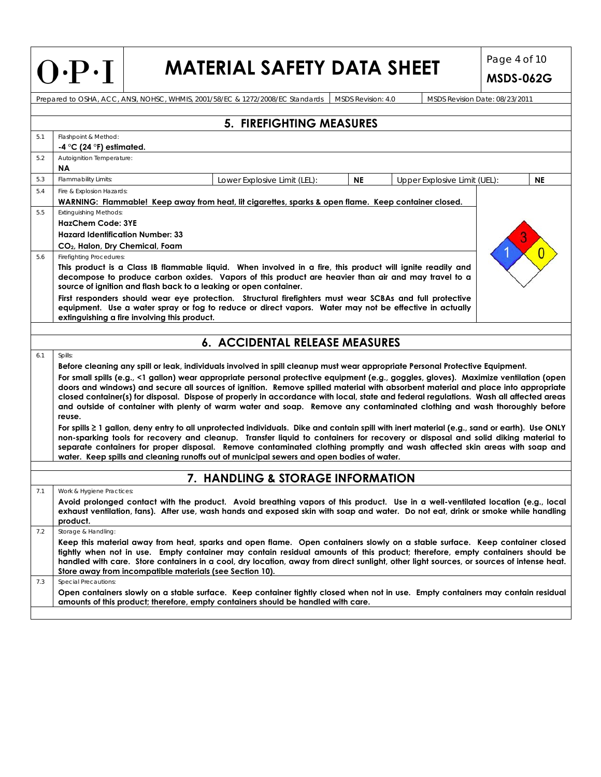| $O \cdot P \cdot I$ |  |
|---------------------|--|
|---------------------|--|

### **MATERIAL SAFETY DATA SHEET** Page 4 of 10

**MSDS-062G**

Prepared to OSHA, ACC, ANSI, NOHSC, WHMIS, 2001/58/EC & 1272/2008/EC Standards MSDS Revision: 4.0 MSDS Revision Date: 08/23/2011 **5. FIREFIGHTING MEASURES**  5.1 Flashpoint & Method: **-4 °C (24 °F) estimated.**  5.2 Autoignition Temperature: **NA**  5.3 Flammability Limits: **NE** Lower Explosive Limit (LEL): **NE | Upper Explosive Limit (UEL): NE** 5.4 Fire & Explosion Hazards: **WARNING: Flammable! Keep away from heat, lit cigarettes, sparks & open flame. Keep container closed.**  5.5 Extinguishing Methods: **HazChem Code: 3YE Hazard Identification Number: 33 CO2, Halon, Dry Chemical, Foam**  5.6 Firefighting Procedures: **This product is a Class IB flammable liquid. When involved in a fire, this product will ignite readily and decompose to produce carbon oxides. Vapors of this product are heavier than air and may travel to a source of ignition and flash back to a leaking or open container. First responders should wear eye protection. Structural firefighters must wear SCBAs and full protective equipment. Use a water spray or fog to reduce or direct vapors. Water may not be effective in actually extinguishing a fire involving this product. 6. ACCIDENTAL RELEASE MEASURES**  6.1 Spills: **Before cleaning any spill or leak, individuals involved in spill cleanup must wear appropriate Personal Protective Equipment. For small spills (e.g., <1 gallon) wear appropriate personal protective equipment (e.g., goggles, gloves). Maximize ventilation (open doors and windows) and secure all sources of ignition. Remove spilled material with absorbent material and place into appropriate closed container(s) for disposal. Dispose of properly in accordance with local, state and federal regulations. Wash all affected areas and outside of container with plenty of warm water and soap. Remove any contaminated clothing and wash thoroughly before reuse. For spills ≥ 1 gallon, deny entry to all unprotected individuals. Dike and contain spill with inert material (e.g., sand or earth). Use ONLY non-sparking tools for recovery and cleanup. Transfer liquid to containers for recovery or disposal and solid diking material to separate containers for proper disposal. Remove contaminated clothing promptly and wash affected skin areas with soap and water. Keep spills and cleaning runoffs out of municipal sewers and open bodies of water. 7. HANDLING & STORAGE INFORMATION**  7.1 Work & Hygiene Practices: **Avoid prolonged contact with the product. Avoid breathing vapors of this product. Use in a well-ventilated location (e.g., local exhaust ventilation, fans). After use, wash hands and exposed skin with soap and water. Do not eat, drink or smoke while handling product.**  7.2 Storage & Handling: **Keep this material away from heat, sparks and open flame. Open containers slowly on a stable surface. Keep container closed tightly when not in use. Empty container may contain residual amounts of this product; therefore, empty containers should be handled with care. Store containers in a cool, dry location, away from direct sunlight, other light sources, or sources of intense heat. Store away from incompatible materials (see Section 10).**  7.3 Special Precautions: **Open containers slowly on a stable surface. Keep container tightly closed when not in use. Empty containers may contain residual amounts of this product; therefore, empty containers should be handled with care.**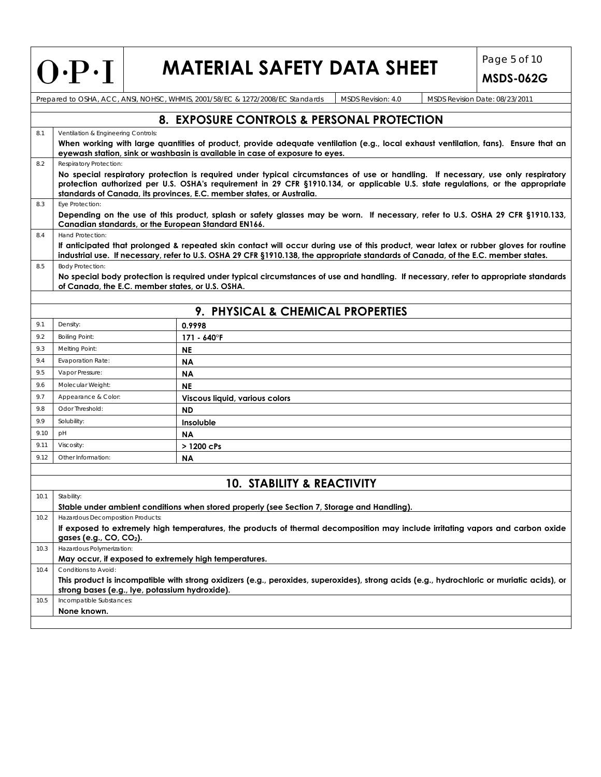## **MATERIAL SAFETY DATA SHEET** Page 5 of 10

**MSDS-062G**

| 8. EXPOSURE CONTROLS & PERSONAL PROTECTION                                                                                                                                                                                                                                                                                                   |  |  |  |  |  |  |  |  |
|----------------------------------------------------------------------------------------------------------------------------------------------------------------------------------------------------------------------------------------------------------------------------------------------------------------------------------------------|--|--|--|--|--|--|--|--|
| Ventilation & Engineering Controls:<br>8.1                                                                                                                                                                                                                                                                                                   |  |  |  |  |  |  |  |  |
| When working with large quantities of product, provide adequate ventilation (e.g., local exhaust ventilation, fans). Ensure that an<br>eyewash station, sink or washbasin is available in case of exposure to eyes.                                                                                                                          |  |  |  |  |  |  |  |  |
| Respiratory Protection:                                                                                                                                                                                                                                                                                                                      |  |  |  |  |  |  |  |  |
| No special respiratory protection is required under typical circumstances of use or handling. If necessary, use only respiratory<br>protection authorized per U.S. OSHA's requirement in 29 CFR §1910.134, or applicable U.S. state regulations, or the appropriate<br>standards of Canada, its provinces, E.C. member states, or Australia. |  |  |  |  |  |  |  |  |
| Eye Protection:<br>8.3                                                                                                                                                                                                                                                                                                                       |  |  |  |  |  |  |  |  |
| Depending on the use of this product, splash or safety glasses may be worn. If necessary, refer to U.S. OSHA 29 CFR §1910.133,<br>Canadian standards, or the European Standard EN166.                                                                                                                                                        |  |  |  |  |  |  |  |  |
| Hand Protection:<br>8.4                                                                                                                                                                                                                                                                                                                      |  |  |  |  |  |  |  |  |
| If anticipated that prolonged & repeated skin contact will occur during use of this product, wear latex or rubber gloves for routine<br>industrial use. If necessary, refer to U.S. OSHA 29 CFR §1910.138, the appropriate standards of Canada, of the E.C. member states.                                                                   |  |  |  |  |  |  |  |  |
| <b>Body Protection:</b><br>8.5                                                                                                                                                                                                                                                                                                               |  |  |  |  |  |  |  |  |
| No special body protection is required under typical circumstances of use and handling. If necessary, refer to appropriate standards<br>of Canada, the E.C. member states, or U.S. OSHA.                                                                                                                                                     |  |  |  |  |  |  |  |  |
|                                                                                                                                                                                                                                                                                                                                              |  |  |  |  |  |  |  |  |
| 9. PHYSICAL & CHEMICAL PROPERTIES                                                                                                                                                                                                                                                                                                            |  |  |  |  |  |  |  |  |
| 9.1<br>Density:<br>0.9998                                                                                                                                                                                                                                                                                                                    |  |  |  |  |  |  |  |  |
| <b>Boiling Point:</b><br>9.2<br>171 - 640°F                                                                                                                                                                                                                                                                                                  |  |  |  |  |  |  |  |  |
| 9.3<br>Melting Point:<br><b>NE</b>                                                                                                                                                                                                                                                                                                           |  |  |  |  |  |  |  |  |
| <b>Evaporation Rate:</b><br><b>NA</b>                                                                                                                                                                                                                                                                                                        |  |  |  |  |  |  |  |  |
| Vapor Pressure:<br>9.5<br><b>NA</b>                                                                                                                                                                                                                                                                                                          |  |  |  |  |  |  |  |  |
| 9.6<br>Molecular Weight:<br><b>NE</b>                                                                                                                                                                                                                                                                                                        |  |  |  |  |  |  |  |  |
| 9.7<br>Appearance & Color:<br>Viscous liquid, various colors                                                                                                                                                                                                                                                                                 |  |  |  |  |  |  |  |  |
| 9.8<br>Odor Threshold:<br><b>ND</b>                                                                                                                                                                                                                                                                                                          |  |  |  |  |  |  |  |  |
| 9.9<br>Solubility:<br><b>Insoluble</b>                                                                                                                                                                                                                                                                                                       |  |  |  |  |  |  |  |  |
| 9.10<br>pH<br>ΝA                                                                                                                                                                                                                                                                                                                             |  |  |  |  |  |  |  |  |
| 9.11<br>Viscosity:<br>> 1200 cPs                                                                                                                                                                                                                                                                                                             |  |  |  |  |  |  |  |  |
| 9.12<br>Other Information:<br><b>NA</b>                                                                                                                                                                                                                                                                                                      |  |  |  |  |  |  |  |  |
|                                                                                                                                                                                                                                                                                                                                              |  |  |  |  |  |  |  |  |
| <b>10. STABILITY &amp; REACTIVITY</b>                                                                                                                                                                                                                                                                                                        |  |  |  |  |  |  |  |  |
| 10.1<br>Stability:                                                                                                                                                                                                                                                                                                                           |  |  |  |  |  |  |  |  |
| Stable under ambient conditions when stored properly (see Section 7, Storage and Handling).                                                                                                                                                                                                                                                  |  |  |  |  |  |  |  |  |
| Hazardous Decomposition Products:<br>10.2                                                                                                                                                                                                                                                                                                    |  |  |  |  |  |  |  |  |
| If exposed to extremely high temperatures, the products of thermal decomposition may include irritating vapors and carbon oxide<br>gases (e.g., CO, CO <sub>2</sub> ).                                                                                                                                                                       |  |  |  |  |  |  |  |  |
| Hazardous Polymerization:<br>10.3                                                                                                                                                                                                                                                                                                            |  |  |  |  |  |  |  |  |
| May occur, if exposed to extremely high temperatures.                                                                                                                                                                                                                                                                                        |  |  |  |  |  |  |  |  |
| Conditions to Avoid:<br>10.4                                                                                                                                                                                                                                                                                                                 |  |  |  |  |  |  |  |  |
| This product is incompatible with strong oxidizers (e.g., peroxides, superoxides), strong acids (e.g., hydrochloric or muriatic acids), or<br>strong bases (e.g., lye, potassium hydroxide).                                                                                                                                                 |  |  |  |  |  |  |  |  |
| Incompatible Substances:<br>10.5                                                                                                                                                                                                                                                                                                             |  |  |  |  |  |  |  |  |
| None known.                                                                                                                                                                                                                                                                                                                                  |  |  |  |  |  |  |  |  |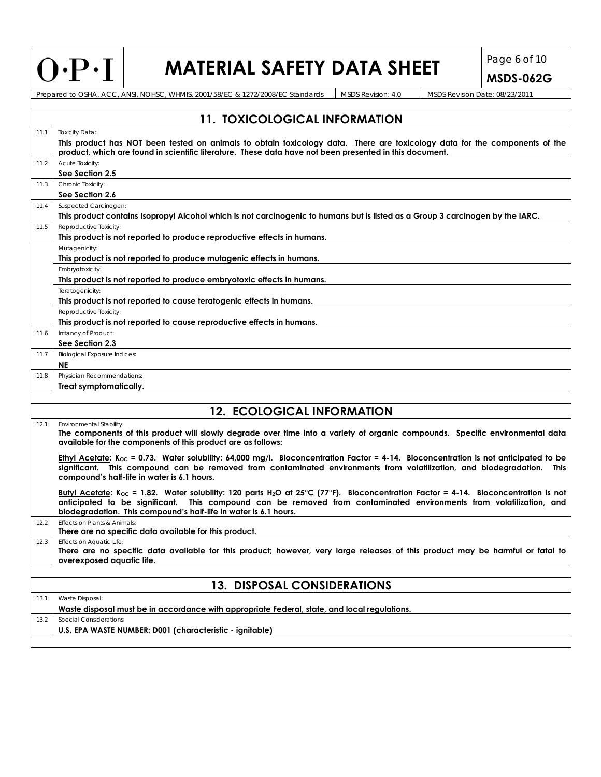## $\left|\bigcap \cdot P \cdot I\right|$  **MATERIAL SAFETY DATA SHEET**  $\left|\bigcap_{MSDS-062 \text{G}} P\right|$

| MSDS Revision: 4.0<br>Prepared to OSHA, ACC, ANSI, NOHSC, WHMIS, 2001/58/EC & 1272/2008/EC Standards<br>MSDS Revision Date: 08/23/2011<br><b>11. TOXICOLOGICAL INFORMATION</b><br><b>Toxicity Data:</b><br>11.1<br>product, which are found in scientific literature. These data have not been presented in this document.<br>Acute Toxicity:<br>11.2<br>See Section 2.5<br>Chronic Toxicity:<br>11.3<br>See Section 2.6<br>Suspected Carcinogen:<br>11.4<br>This product contains Isopropyl Alcohol which is not carcinogenic to humans but is listed as a Group 3 carcinogen by the IARC.<br>Reproductive Toxicity:<br>11.5<br>This product is not reported to produce reproductive effects in humans.<br>Mutagenicity:<br>This product is not reported to produce mutagenic effects in humans.<br>Embryotoxicity:<br>This product is not reported to produce embryotoxic effects in humans.<br>Teratogenicity:<br>This product is not reported to cause teratogenic effects in humans.<br>Reproductive Toxicity:<br>This product is not reported to cause reproductive effects in humans.<br>Irritancy of Product:<br>11.6<br>See Section 2.3<br><b>Biological Exposure Indices:</b><br>11.7<br><b>NE</b><br>Physician Recommendations:<br>11.8<br>Treat symptomatically.<br><b>12. ECOLOGICAL INFORMATION</b><br>Environmental Stability:<br>12.1<br>The components of this product will slowly degrade over time into a variety of organic compounds. Specific environmental data<br>available for the components of this product are as follows:<br>Ethyl Acetate: K <sub>oc</sub> = 0.73. Water solubility: 64,000 mg/l. Bioconcentration Factor = 4-14. Bioconcentration is not anticipated to be<br>significant. This compound can be removed from contaminated environments from volatilization, and biodegradation. This<br>compound's half-life in water is 6.1 hours.<br>Butyl Acetate: K <sub>oc</sub> = 1.82. Water solubility: 120 parts H <sub>2</sub> O at 25°C (77°F). Bioconcentration Factor = 4-14. Bioconcentration is not<br>anticipated to be significant. This compound can be removed from contaminated environments from volatilization, and<br>biodegradation. This compound's half-life in water is 6.1 hours.<br>Effects on Plants & Animals:<br>12.2<br>There are no specific data available for this product.<br>Effects on Aquatic Life:<br>12.3<br>There are no specific data available for this product; however, very large releases of this product may be harmful or fatal to<br>overexposed aquatic life.<br><b>13. DISPOSAL CONSIDERATIONS</b><br>Waste Disposal:<br>13.1 | $U^{\dagger}$                                                                                                              |  |  | MAIERIAL SAFEIT DATA SHEEI |  |  | <b>MSDS-062G</b> |  |  |
|--------------------------------------------------------------------------------------------------------------------------------------------------------------------------------------------------------------------------------------------------------------------------------------------------------------------------------------------------------------------------------------------------------------------------------------------------------------------------------------------------------------------------------------------------------------------------------------------------------------------------------------------------------------------------------------------------------------------------------------------------------------------------------------------------------------------------------------------------------------------------------------------------------------------------------------------------------------------------------------------------------------------------------------------------------------------------------------------------------------------------------------------------------------------------------------------------------------------------------------------------------------------------------------------------------------------------------------------------------------------------------------------------------------------------------------------------------------------------------------------------------------------------------------------------------------------------------------------------------------------------------------------------------------------------------------------------------------------------------------------------------------------------------------------------------------------------------------------------------------------------------------------------------------------------------------------------------------------------------------------------------------------------------------------------------------------------------------------------------------------------------------------------------------------------------------------------------------------------------------------------------------------------------------------------------------------------------------------------------------------------------------------------------------------------------------------------------------------------------------------------------------------------------------------------------------------------------------------------------------------|----------------------------------------------------------------------------------------------------------------------------|--|--|----------------------------|--|--|------------------|--|--|
|                                                                                                                                                                                                                                                                                                                                                                                                                                                                                                                                                                                                                                                                                                                                                                                                                                                                                                                                                                                                                                                                                                                                                                                                                                                                                                                                                                                                                                                                                                                                                                                                                                                                                                                                                                                                                                                                                                                                                                                                                                                                                                                                                                                                                                                                                                                                                                                                                                                                                                                                                                                                                    |                                                                                                                            |  |  |                            |  |  |                  |  |  |
|                                                                                                                                                                                                                                                                                                                                                                                                                                                                                                                                                                                                                                                                                                                                                                                                                                                                                                                                                                                                                                                                                                                                                                                                                                                                                                                                                                                                                                                                                                                                                                                                                                                                                                                                                                                                                                                                                                                                                                                                                                                                                                                                                                                                                                                                                                                                                                                                                                                                                                                                                                                                                    |                                                                                                                            |  |  |                            |  |  |                  |  |  |
|                                                                                                                                                                                                                                                                                                                                                                                                                                                                                                                                                                                                                                                                                                                                                                                                                                                                                                                                                                                                                                                                                                                                                                                                                                                                                                                                                                                                                                                                                                                                                                                                                                                                                                                                                                                                                                                                                                                                                                                                                                                                                                                                                                                                                                                                                                                                                                                                                                                                                                                                                                                                                    |                                                                                                                            |  |  |                            |  |  |                  |  |  |
|                                                                                                                                                                                                                                                                                                                                                                                                                                                                                                                                                                                                                                                                                                                                                                                                                                                                                                                                                                                                                                                                                                                                                                                                                                                                                                                                                                                                                                                                                                                                                                                                                                                                                                                                                                                                                                                                                                                                                                                                                                                                                                                                                                                                                                                                                                                                                                                                                                                                                                                                                                                                                    |                                                                                                                            |  |  |                            |  |  |                  |  |  |
|                                                                                                                                                                                                                                                                                                                                                                                                                                                                                                                                                                                                                                                                                                                                                                                                                                                                                                                                                                                                                                                                                                                                                                                                                                                                                                                                                                                                                                                                                                                                                                                                                                                                                                                                                                                                                                                                                                                                                                                                                                                                                                                                                                                                                                                                                                                                                                                                                                                                                                                                                                                                                    | This product has NOT been tested on animals to obtain toxicology data. There are toxicology data for the components of the |  |  |                            |  |  |                  |  |  |
|                                                                                                                                                                                                                                                                                                                                                                                                                                                                                                                                                                                                                                                                                                                                                                                                                                                                                                                                                                                                                                                                                                                                                                                                                                                                                                                                                                                                                                                                                                                                                                                                                                                                                                                                                                                                                                                                                                                                                                                                                                                                                                                                                                                                                                                                                                                                                                                                                                                                                                                                                                                                                    |                                                                                                                            |  |  |                            |  |  |                  |  |  |
|                                                                                                                                                                                                                                                                                                                                                                                                                                                                                                                                                                                                                                                                                                                                                                                                                                                                                                                                                                                                                                                                                                                                                                                                                                                                                                                                                                                                                                                                                                                                                                                                                                                                                                                                                                                                                                                                                                                                                                                                                                                                                                                                                                                                                                                                                                                                                                                                                                                                                                                                                                                                                    |                                                                                                                            |  |  |                            |  |  |                  |  |  |
|                                                                                                                                                                                                                                                                                                                                                                                                                                                                                                                                                                                                                                                                                                                                                                                                                                                                                                                                                                                                                                                                                                                                                                                                                                                                                                                                                                                                                                                                                                                                                                                                                                                                                                                                                                                                                                                                                                                                                                                                                                                                                                                                                                                                                                                                                                                                                                                                                                                                                                                                                                                                                    |                                                                                                                            |  |  |                            |  |  |                  |  |  |
|                                                                                                                                                                                                                                                                                                                                                                                                                                                                                                                                                                                                                                                                                                                                                                                                                                                                                                                                                                                                                                                                                                                                                                                                                                                                                                                                                                                                                                                                                                                                                                                                                                                                                                                                                                                                                                                                                                                                                                                                                                                                                                                                                                                                                                                                                                                                                                                                                                                                                                                                                                                                                    |                                                                                                                            |  |  |                            |  |  |                  |  |  |
|                                                                                                                                                                                                                                                                                                                                                                                                                                                                                                                                                                                                                                                                                                                                                                                                                                                                                                                                                                                                                                                                                                                                                                                                                                                                                                                                                                                                                                                                                                                                                                                                                                                                                                                                                                                                                                                                                                                                                                                                                                                                                                                                                                                                                                                                                                                                                                                                                                                                                                                                                                                                                    |                                                                                                                            |  |  |                            |  |  |                  |  |  |
|                                                                                                                                                                                                                                                                                                                                                                                                                                                                                                                                                                                                                                                                                                                                                                                                                                                                                                                                                                                                                                                                                                                                                                                                                                                                                                                                                                                                                                                                                                                                                                                                                                                                                                                                                                                                                                                                                                                                                                                                                                                                                                                                                                                                                                                                                                                                                                                                                                                                                                                                                                                                                    |                                                                                                                            |  |  |                            |  |  |                  |  |  |
|                                                                                                                                                                                                                                                                                                                                                                                                                                                                                                                                                                                                                                                                                                                                                                                                                                                                                                                                                                                                                                                                                                                                                                                                                                                                                                                                                                                                                                                                                                                                                                                                                                                                                                                                                                                                                                                                                                                                                                                                                                                                                                                                                                                                                                                                                                                                                                                                                                                                                                                                                                                                                    |                                                                                                                            |  |  |                            |  |  |                  |  |  |
|                                                                                                                                                                                                                                                                                                                                                                                                                                                                                                                                                                                                                                                                                                                                                                                                                                                                                                                                                                                                                                                                                                                                                                                                                                                                                                                                                                                                                                                                                                                                                                                                                                                                                                                                                                                                                                                                                                                                                                                                                                                                                                                                                                                                                                                                                                                                                                                                                                                                                                                                                                                                                    |                                                                                                                            |  |  |                            |  |  |                  |  |  |
|                                                                                                                                                                                                                                                                                                                                                                                                                                                                                                                                                                                                                                                                                                                                                                                                                                                                                                                                                                                                                                                                                                                                                                                                                                                                                                                                                                                                                                                                                                                                                                                                                                                                                                                                                                                                                                                                                                                                                                                                                                                                                                                                                                                                                                                                                                                                                                                                                                                                                                                                                                                                                    |                                                                                                                            |  |  |                            |  |  |                  |  |  |
|                                                                                                                                                                                                                                                                                                                                                                                                                                                                                                                                                                                                                                                                                                                                                                                                                                                                                                                                                                                                                                                                                                                                                                                                                                                                                                                                                                                                                                                                                                                                                                                                                                                                                                                                                                                                                                                                                                                                                                                                                                                                                                                                                                                                                                                                                                                                                                                                                                                                                                                                                                                                                    |                                                                                                                            |  |  |                            |  |  |                  |  |  |
|                                                                                                                                                                                                                                                                                                                                                                                                                                                                                                                                                                                                                                                                                                                                                                                                                                                                                                                                                                                                                                                                                                                                                                                                                                                                                                                                                                                                                                                                                                                                                                                                                                                                                                                                                                                                                                                                                                                                                                                                                                                                                                                                                                                                                                                                                                                                                                                                                                                                                                                                                                                                                    |                                                                                                                            |  |  |                            |  |  |                  |  |  |
|                                                                                                                                                                                                                                                                                                                                                                                                                                                                                                                                                                                                                                                                                                                                                                                                                                                                                                                                                                                                                                                                                                                                                                                                                                                                                                                                                                                                                                                                                                                                                                                                                                                                                                                                                                                                                                                                                                                                                                                                                                                                                                                                                                                                                                                                                                                                                                                                                                                                                                                                                                                                                    |                                                                                                                            |  |  |                            |  |  |                  |  |  |
|                                                                                                                                                                                                                                                                                                                                                                                                                                                                                                                                                                                                                                                                                                                                                                                                                                                                                                                                                                                                                                                                                                                                                                                                                                                                                                                                                                                                                                                                                                                                                                                                                                                                                                                                                                                                                                                                                                                                                                                                                                                                                                                                                                                                                                                                                                                                                                                                                                                                                                                                                                                                                    |                                                                                                                            |  |  |                            |  |  |                  |  |  |
|                                                                                                                                                                                                                                                                                                                                                                                                                                                                                                                                                                                                                                                                                                                                                                                                                                                                                                                                                                                                                                                                                                                                                                                                                                                                                                                                                                                                                                                                                                                                                                                                                                                                                                                                                                                                                                                                                                                                                                                                                                                                                                                                                                                                                                                                                                                                                                                                                                                                                                                                                                                                                    |                                                                                                                            |  |  |                            |  |  |                  |  |  |
|                                                                                                                                                                                                                                                                                                                                                                                                                                                                                                                                                                                                                                                                                                                                                                                                                                                                                                                                                                                                                                                                                                                                                                                                                                                                                                                                                                                                                                                                                                                                                                                                                                                                                                                                                                                                                                                                                                                                                                                                                                                                                                                                                                                                                                                                                                                                                                                                                                                                                                                                                                                                                    |                                                                                                                            |  |  |                            |  |  |                  |  |  |
|                                                                                                                                                                                                                                                                                                                                                                                                                                                                                                                                                                                                                                                                                                                                                                                                                                                                                                                                                                                                                                                                                                                                                                                                                                                                                                                                                                                                                                                                                                                                                                                                                                                                                                                                                                                                                                                                                                                                                                                                                                                                                                                                                                                                                                                                                                                                                                                                                                                                                                                                                                                                                    |                                                                                                                            |  |  |                            |  |  |                  |  |  |
|                                                                                                                                                                                                                                                                                                                                                                                                                                                                                                                                                                                                                                                                                                                                                                                                                                                                                                                                                                                                                                                                                                                                                                                                                                                                                                                                                                                                                                                                                                                                                                                                                                                                                                                                                                                                                                                                                                                                                                                                                                                                                                                                                                                                                                                                                                                                                                                                                                                                                                                                                                                                                    |                                                                                                                            |  |  |                            |  |  |                  |  |  |
|                                                                                                                                                                                                                                                                                                                                                                                                                                                                                                                                                                                                                                                                                                                                                                                                                                                                                                                                                                                                                                                                                                                                                                                                                                                                                                                                                                                                                                                                                                                                                                                                                                                                                                                                                                                                                                                                                                                                                                                                                                                                                                                                                                                                                                                                                                                                                                                                                                                                                                                                                                                                                    |                                                                                                                            |  |  |                            |  |  |                  |  |  |
|                                                                                                                                                                                                                                                                                                                                                                                                                                                                                                                                                                                                                                                                                                                                                                                                                                                                                                                                                                                                                                                                                                                                                                                                                                                                                                                                                                                                                                                                                                                                                                                                                                                                                                                                                                                                                                                                                                                                                                                                                                                                                                                                                                                                                                                                                                                                                                                                                                                                                                                                                                                                                    |                                                                                                                            |  |  |                            |  |  |                  |  |  |
|                                                                                                                                                                                                                                                                                                                                                                                                                                                                                                                                                                                                                                                                                                                                                                                                                                                                                                                                                                                                                                                                                                                                                                                                                                                                                                                                                                                                                                                                                                                                                                                                                                                                                                                                                                                                                                                                                                                                                                                                                                                                                                                                                                                                                                                                                                                                                                                                                                                                                                                                                                                                                    |                                                                                                                            |  |  |                            |  |  |                  |  |  |
|                                                                                                                                                                                                                                                                                                                                                                                                                                                                                                                                                                                                                                                                                                                                                                                                                                                                                                                                                                                                                                                                                                                                                                                                                                                                                                                                                                                                                                                                                                                                                                                                                                                                                                                                                                                                                                                                                                                                                                                                                                                                                                                                                                                                                                                                                                                                                                                                                                                                                                                                                                                                                    |                                                                                                                            |  |  |                            |  |  |                  |  |  |
|                                                                                                                                                                                                                                                                                                                                                                                                                                                                                                                                                                                                                                                                                                                                                                                                                                                                                                                                                                                                                                                                                                                                                                                                                                                                                                                                                                                                                                                                                                                                                                                                                                                                                                                                                                                                                                                                                                                                                                                                                                                                                                                                                                                                                                                                                                                                                                                                                                                                                                                                                                                                                    |                                                                                                                            |  |  |                            |  |  |                  |  |  |
|                                                                                                                                                                                                                                                                                                                                                                                                                                                                                                                                                                                                                                                                                                                                                                                                                                                                                                                                                                                                                                                                                                                                                                                                                                                                                                                                                                                                                                                                                                                                                                                                                                                                                                                                                                                                                                                                                                                                                                                                                                                                                                                                                                                                                                                                                                                                                                                                                                                                                                                                                                                                                    |                                                                                                                            |  |  |                            |  |  |                  |  |  |
|                                                                                                                                                                                                                                                                                                                                                                                                                                                                                                                                                                                                                                                                                                                                                                                                                                                                                                                                                                                                                                                                                                                                                                                                                                                                                                                                                                                                                                                                                                                                                                                                                                                                                                                                                                                                                                                                                                                                                                                                                                                                                                                                                                                                                                                                                                                                                                                                                                                                                                                                                                                                                    |                                                                                                                            |  |  |                            |  |  |                  |  |  |
|                                                                                                                                                                                                                                                                                                                                                                                                                                                                                                                                                                                                                                                                                                                                                                                                                                                                                                                                                                                                                                                                                                                                                                                                                                                                                                                                                                                                                                                                                                                                                                                                                                                                                                                                                                                                                                                                                                                                                                                                                                                                                                                                                                                                                                                                                                                                                                                                                                                                                                                                                                                                                    |                                                                                                                            |  |  |                            |  |  |                  |  |  |
|                                                                                                                                                                                                                                                                                                                                                                                                                                                                                                                                                                                                                                                                                                                                                                                                                                                                                                                                                                                                                                                                                                                                                                                                                                                                                                                                                                                                                                                                                                                                                                                                                                                                                                                                                                                                                                                                                                                                                                                                                                                                                                                                                                                                                                                                                                                                                                                                                                                                                                                                                                                                                    |                                                                                                                            |  |  |                            |  |  |                  |  |  |
|                                                                                                                                                                                                                                                                                                                                                                                                                                                                                                                                                                                                                                                                                                                                                                                                                                                                                                                                                                                                                                                                                                                                                                                                                                                                                                                                                                                                                                                                                                                                                                                                                                                                                                                                                                                                                                                                                                                                                                                                                                                                                                                                                                                                                                                                                                                                                                                                                                                                                                                                                                                                                    |                                                                                                                            |  |  |                            |  |  |                  |  |  |
|                                                                                                                                                                                                                                                                                                                                                                                                                                                                                                                                                                                                                                                                                                                                                                                                                                                                                                                                                                                                                                                                                                                                                                                                                                                                                                                                                                                                                                                                                                                                                                                                                                                                                                                                                                                                                                                                                                                                                                                                                                                                                                                                                                                                                                                                                                                                                                                                                                                                                                                                                                                                                    |                                                                                                                            |  |  |                            |  |  |                  |  |  |
|                                                                                                                                                                                                                                                                                                                                                                                                                                                                                                                                                                                                                                                                                                                                                                                                                                                                                                                                                                                                                                                                                                                                                                                                                                                                                                                                                                                                                                                                                                                                                                                                                                                                                                                                                                                                                                                                                                                                                                                                                                                                                                                                                                                                                                                                                                                                                                                                                                                                                                                                                                                                                    |                                                                                                                            |  |  |                            |  |  |                  |  |  |
|                                                                                                                                                                                                                                                                                                                                                                                                                                                                                                                                                                                                                                                                                                                                                                                                                                                                                                                                                                                                                                                                                                                                                                                                                                                                                                                                                                                                                                                                                                                                                                                                                                                                                                                                                                                                                                                                                                                                                                                                                                                                                                                                                                                                                                                                                                                                                                                                                                                                                                                                                                                                                    |                                                                                                                            |  |  |                            |  |  |                  |  |  |
| Waste disposal must be in accordance with appropriate Federal, state, and local regulations.                                                                                                                                                                                                                                                                                                                                                                                                                                                                                                                                                                                                                                                                                                                                                                                                                                                                                                                                                                                                                                                                                                                                                                                                                                                                                                                                                                                                                                                                                                                                                                                                                                                                                                                                                                                                                                                                                                                                                                                                                                                                                                                                                                                                                                                                                                                                                                                                                                                                                                                       |                                                                                                                            |  |  |                            |  |  |                  |  |  |
| <b>Special Considerations:</b><br>13.2<br>U.S. EPA WASTE NUMBER: D001 (characteristic - ignitable)                                                                                                                                                                                                                                                                                                                                                                                                                                                                                                                                                                                                                                                                                                                                                                                                                                                                                                                                                                                                                                                                                                                                                                                                                                                                                                                                                                                                                                                                                                                                                                                                                                                                                                                                                                                                                                                                                                                                                                                                                                                                                                                                                                                                                                                                                                                                                                                                                                                                                                                 |                                                                                                                            |  |  |                            |  |  |                  |  |  |
|                                                                                                                                                                                                                                                                                                                                                                                                                                                                                                                                                                                                                                                                                                                                                                                                                                                                                                                                                                                                                                                                                                                                                                                                                                                                                                                                                                                                                                                                                                                                                                                                                                                                                                                                                                                                                                                                                                                                                                                                                                                                                                                                                                                                                                                                                                                                                                                                                                                                                                                                                                                                                    |                                                                                                                            |  |  |                            |  |  |                  |  |  |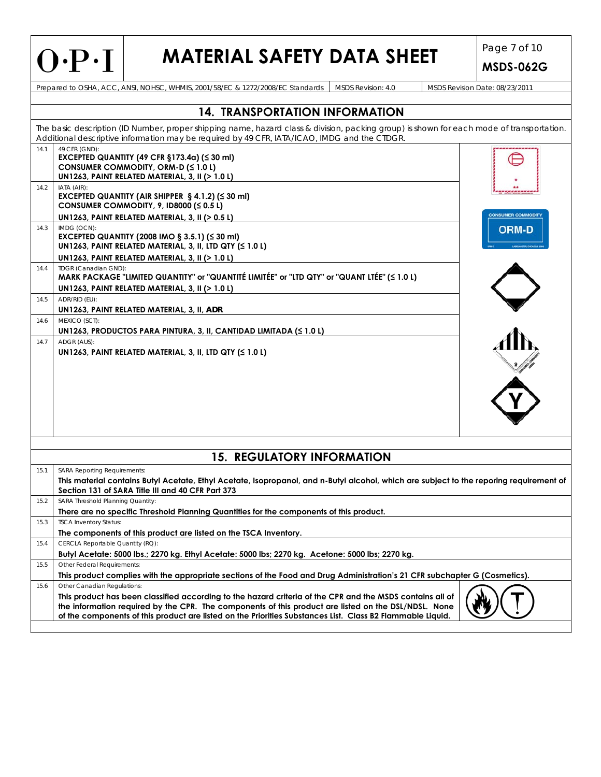|      | $O\cdot P\cdot I$                                                                                                                                                                                                                                                                                                                                              | <b>MATERIAL SAFETY DATA SHEET</b> |  |                                       |  | Page 7 of 10<br><b>MSDS-062G</b>                                                                                                          |
|------|----------------------------------------------------------------------------------------------------------------------------------------------------------------------------------------------------------------------------------------------------------------------------------------------------------------------------------------------------------------|-----------------------------------|--|---------------------------------------|--|-------------------------------------------------------------------------------------------------------------------------------------------|
|      | Prepared to OSHA, ACC, ANSI, NOHSC, WHMIS, 2001/58/EC & 1272/2008/EC Standards                                                                                                                                                                                                                                                                                 |                                   |  | MSDS Revision: 4.0                    |  | MSDS Revision Date: 08/23/2011                                                                                                            |
|      |                                                                                                                                                                                                                                                                                                                                                                |                                   |  |                                       |  |                                                                                                                                           |
|      |                                                                                                                                                                                                                                                                                                                                                                |                                   |  | <b>14. TRANSPORTATION INFORMATION</b> |  |                                                                                                                                           |
|      | Additional descriptive information may be required by 49 CFR, IATA/ICAO, IMDG and the CTDGR.                                                                                                                                                                                                                                                                   |                                   |  |                                       |  | The basic description (ID Number, proper shipping name, hazard class & division, packing group) is shown for each mode of transportation. |
| 14.1 | 49 CFR (GND):<br>EXCEPTED QUANTITY (49 CFR $\S$ 173.4a) ( $\leq$ 30 ml)<br>CONSUMER COMMODITY, ORM-D (≤ 1.0 L)<br>UN1263, PAINT RELATED MATERIAL, 3, II (> 1.0 L)                                                                                                                                                                                              |                                   |  |                                       |  |                                                                                                                                           |
| 14.2 | IATA (AIR):<br>EXCEPTED QUANTITY (AIR SHIPPER $\S$ 4.1.2) ( $\leq$ 30 ml)<br>CONSUMER COMMODITY, $9$ , ID8000 ( $\leq 0.5$ L)                                                                                                                                                                                                                                  |                                   |  |                                       |  | <b>INSUMER COMMODITY</b>                                                                                                                  |
|      | UN1263, PAINT RELATED MATERIAL, 3, II (> 0.5 L)                                                                                                                                                                                                                                                                                                                |                                   |  |                                       |  |                                                                                                                                           |
| 14.3 | IMDG (OCN):<br>EXCEPTED QUANTITY (2008 IMO § 3.5.1) (≤ 30 ml)<br>UN1263, PAINT RELATED MATERIAL, 3, II, LTD QTY (≤ 1.0 L)                                                                                                                                                                                                                                      |                                   |  |                                       |  | ORM-D                                                                                                                                     |
|      | UN1263, PAINT RELATED MATERIAL, 3, II (> 1.0 L)                                                                                                                                                                                                                                                                                                                |                                   |  |                                       |  |                                                                                                                                           |
| 14.4 | TDGR (Canadian GND):<br>MARK PACKAGE "LIMITED QUANTITY" or "QUANTITÉ LIMITÉE" or "LTD QTY" or "QUANT LTÉE" (≤ 1.0 L)<br>UN1263, PAINT RELATED MATERIAL, 3, II (> 1.0 L)                                                                                                                                                                                        |                                   |  |                                       |  |                                                                                                                                           |
| 14.5 | ADR/RID (EU):                                                                                                                                                                                                                                                                                                                                                  |                                   |  |                                       |  |                                                                                                                                           |
|      | UN1263, PAINT RELATED MATERIAL, 3, II, ADR                                                                                                                                                                                                                                                                                                                     |                                   |  |                                       |  |                                                                                                                                           |
| 14.6 | MEXICO (SCT):<br>UN1263, PRODUCTOS PARA PINTURA, 3, II, CANTIDAD LIMITADA (S 1.0 L)                                                                                                                                                                                                                                                                            |                                   |  |                                       |  |                                                                                                                                           |
| 14.7 | ADGR (AUS):<br>UN1263, PAINT RELATED MATERIAL, 3, II, LTD QTY ( $\leq 1.0$ L)                                                                                                                                                                                                                                                                                  |                                   |  |                                       |  |                                                                                                                                           |
|      |                                                                                                                                                                                                                                                                                                                                                                |                                   |  | <b>15. REGULATORY INFORMATION</b>     |  |                                                                                                                                           |
| 15.1 | SARA Reporting Requirements:<br>Section 131 of SARA Title III and 40 CFR Part 373                                                                                                                                                                                                                                                                              |                                   |  |                                       |  | This material contains Butyl Acetate, Ethyl Acetate, Isopropanol, and n-Butyl alcohol, which are subject to the reporing requirement of   |
| 15.2 | SARA Threshold Planning Quantity:                                                                                                                                                                                                                                                                                                                              |                                   |  |                                       |  |                                                                                                                                           |
|      | There are no specific Threshold Planning Quantities for the components of this product.                                                                                                                                                                                                                                                                        |                                   |  |                                       |  |                                                                                                                                           |
| 15.3 | <b>TSCA Inventory Status:</b><br>The components of this product are listed on the TSCA Inventory.                                                                                                                                                                                                                                                              |                                   |  |                                       |  |                                                                                                                                           |
| 15.4 | CERCLA Reportable Quantity (RQ):                                                                                                                                                                                                                                                                                                                               |                                   |  |                                       |  |                                                                                                                                           |
|      | Butyl Acetate: 5000 lbs.; 2270 kg. Ethyl Acetate: 5000 lbs; 2270 kg. Acetone: 5000 lbs; 2270 kg.                                                                                                                                                                                                                                                               |                                   |  |                                       |  |                                                                                                                                           |
| 15.5 | Other Federal Requirements:                                                                                                                                                                                                                                                                                                                                    |                                   |  |                                       |  |                                                                                                                                           |
|      |                                                                                                                                                                                                                                                                                                                                                                |                                   |  |                                       |  | This product complies with the appropriate sections of the Food and Drug Administration's 21 CFR subchapter G (Cosmetics).                |
| 15.6 | Other Canadian Regulations:<br>This product has been classified according to the hazard criteria of the CPR and the MSDS contains all of<br>the information required by the CPR. The components of this product are listed on the DSL/NDSL. None<br>of the components of this product are listed on the Priorities Substances List. Class B2 Flammable Liquid. |                                   |  |                                       |  |                                                                                                                                           |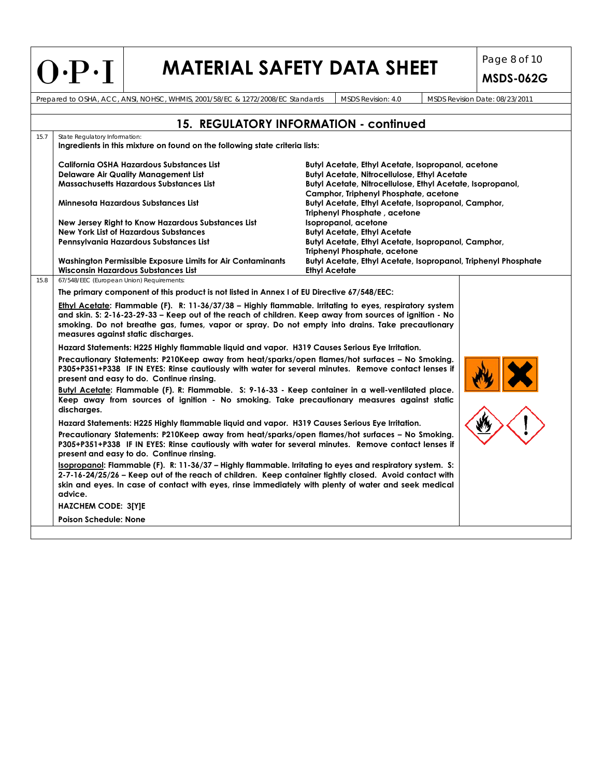| $O\cdot P\cdot I$                                                                                                                                                                                                                                                                                                           | MATERIAL SAFETY DATA SHEET                                                                 | <b>MSDS-062G</b>               |
|-----------------------------------------------------------------------------------------------------------------------------------------------------------------------------------------------------------------------------------------------------------------------------------------------------------------------------|--------------------------------------------------------------------------------------------|--------------------------------|
| Prepared to OSHA, ACC, ANSI, NOHSC, WHMIS, 2001/58/EC & 1272/2008/EC Standards                                                                                                                                                                                                                                              | MSDS Revision: 4.0                                                                         | MSDS Revision Date: 08/23/2011 |
|                                                                                                                                                                                                                                                                                                                             | <b>15. REGULATORY INFORMATION - continued</b>                                              |                                |
| State Regulatory Information:<br>Ingredients in this mixture on found on the following state criteria lists:                                                                                                                                                                                                                |                                                                                            |                                |
| California OSHA Hazardous Substances List                                                                                                                                                                                                                                                                                   | Butyl Acetate, Ethyl Acetate, Isopropanol, acetone                                         |                                |
| <b>Delaware Air Quality Management List</b>                                                                                                                                                                                                                                                                                 | <b>Butyl Acetate, Nitrocellulose, Ethyl Acetate</b>                                        |                                |
| <b>Massachusetts Hazardous Substances List</b>                                                                                                                                                                                                                                                                              | Butyl Acetate, Nitrocellulose, Ethyl Acetate, Isopropanol,                                 |                                |
|                                                                                                                                                                                                                                                                                                                             | Camphor, Triphenyl Phosphate, acetone                                                      |                                |
| Minnesota Hazardous Substances List                                                                                                                                                                                                                                                                                         | Butyl Acetate, Ethyl Acetate, Isopropanol, Camphor,<br><b>Triphenyl Phosphate, acetone</b> |                                |
| New Jersey Right to Know Hazardous Substances List                                                                                                                                                                                                                                                                          | Isopropanol, acetone                                                                       |                                |
| <b>New York List of Hazardous Substances</b>                                                                                                                                                                                                                                                                                | <b>Butyl Acetate, Ethyl Acetate</b>                                                        |                                |
| Pennsylvania Hazardous Substances List                                                                                                                                                                                                                                                                                      | Butyl Acetate, Ethyl Acetate, Isopropanol, Camphor,                                        |                                |
|                                                                                                                                                                                                                                                                                                                             | <b>Triphenyl Phosphate, acetone</b>                                                        |                                |
| Washington Permissible Exposure Limits for Air Contaminants                                                                                                                                                                                                                                                                 | Butyl Acetate, Ethyl Acetate, Isopropanol, Triphenyl Phosphate                             |                                |
| <b>Wisconsin Hazardous Substances List</b><br>67/548/EEC (European Union) Requirements:                                                                                                                                                                                                                                     | <b>Ethyl Acetate</b>                                                                       |                                |
|                                                                                                                                                                                                                                                                                                                             |                                                                                            |                                |
| The primary component of this product is not listed in Annex I of EU Directive 67/548/EEC:<br>Ethyl Acetate: Flammable (F). R: 11-36/37/38 – Highly flammable. Irritating to eyes, respiratory system                                                                                                                       |                                                                                            |                                |
| and skin. S: 2-16-23-29-33 - Keep out of the reach of children. Keep away from sources of ignition - No<br>smoking. Do not breathe gas, fumes, vapor or spray. Do not empty into drains. Take precautionary<br>measures against static discharges.                                                                          |                                                                                            |                                |
| Hazard Statements: H225 Highly flammable liquid and vapor. H319 Causes Serious Eye Irritation.                                                                                                                                                                                                                              |                                                                                            |                                |
| Precautionary Statements: P210Keep away from heat/sparks/open flames/hot surfaces - No Smoking.<br>P305+P351+P338 IF IN EYES: Rinse cautiously with water for several minutes. Remove contact lenses if<br>present and easy to do. Continue rinsing.                                                                        |                                                                                            |                                |
| Butyl Acetate: Flammable (F). R: Flammable. S: 9-16-33 - Keep container in a well-ventilated place.<br>Keep away from sources of ignition - No smoking. Take precautionary measures against static<br>discharges.                                                                                                           |                                                                                            |                                |
| Hazard Statements: H225 Highly flammable liquid and vapor. H319 Causes Serious Eye Irritation.                                                                                                                                                                                                                              |                                                                                            |                                |
| Precautionary Statements: P210Keep away from heat/sparks/open flames/hot surfaces – No Smoking.<br>P305+P351+P338 IF IN EYES: Rinse cautiously with water for several minutes. Remove contact lenses if                                                                                                                     |                                                                                            |                                |
| present and easy to do. Continue rinsing.                                                                                                                                                                                                                                                                                   |                                                                                            |                                |
| Isopropanol: Flammable (F). R: 11-36/37 – Highly flammable. Irritating to eyes and respiratory system. S:<br>2-7-16-24/25/26 - Keep out of the reach of children. Keep container tightly closed. Avoid contact with<br>skin and eyes. In case of contact with eyes, rinse immediately with plenty of water and seek medical |                                                                                            |                                |
| advice.                                                                                                                                                                                                                                                                                                                     |                                                                                            |                                |
| <b>HAZCHEM CODE: 3[Y]E</b>                                                                                                                                                                                                                                                                                                  |                                                                                            |                                |

 $\perp$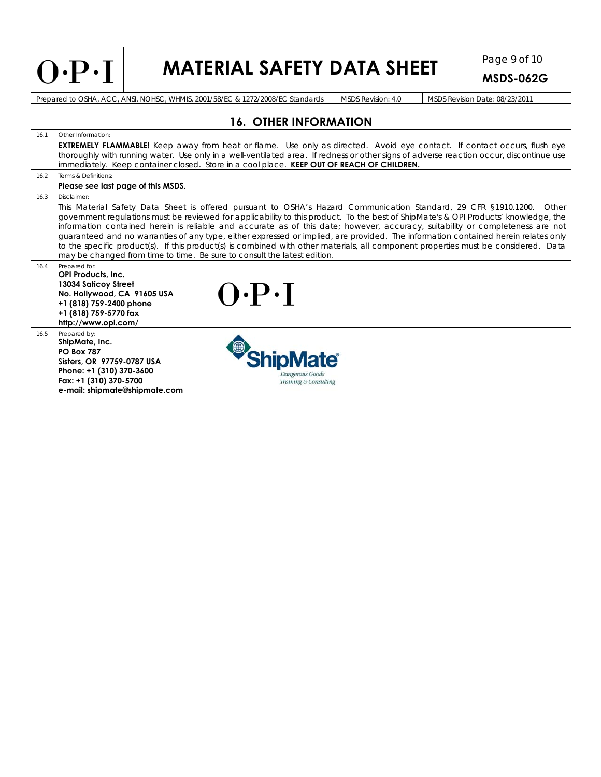|      | $O\cdot P\cdot I$                                                                                                                                                                                                                                                                                                                                                                                                                                                                                                                                                                                                                                                                                                                                                                                          |  | <b>MATERIAL SAFETY DATA SHEET</b>                                              |                    |  | Page 9 of 10<br><b>MSDS-062G</b> |  |  |  |
|------|------------------------------------------------------------------------------------------------------------------------------------------------------------------------------------------------------------------------------------------------------------------------------------------------------------------------------------------------------------------------------------------------------------------------------------------------------------------------------------------------------------------------------------------------------------------------------------------------------------------------------------------------------------------------------------------------------------------------------------------------------------------------------------------------------------|--|--------------------------------------------------------------------------------|--------------------|--|----------------------------------|--|--|--|
|      |                                                                                                                                                                                                                                                                                                                                                                                                                                                                                                                                                                                                                                                                                                                                                                                                            |  | Prepared to OSHA, ACC, ANSI, NOHSC, WHMIS, 2001/58/EC & 1272/2008/EC Standards | MSDS Revision: 4.0 |  | MSDS Revision Date: 08/23/2011   |  |  |  |
|      |                                                                                                                                                                                                                                                                                                                                                                                                                                                                                                                                                                                                                                                                                                                                                                                                            |  |                                                                                |                    |  |                                  |  |  |  |
| 16.1 | <b>16. OTHER INFORMATION</b><br>Other Information:<br>EXTREMELY FLAMMABLE! Keep away from heat or flame. Use only as directed. Avoid eye contact. If contact occurs, flush eye<br>thoroughly with running water. Use only in a well-ventilated area. If redness or other signs of adverse reaction occur, discontinue use<br>immediately. Keep container closed. Store in a cool place. KEEP OUT OF REACH OF CHILDREN.                                                                                                                                                                                                                                                                                                                                                                                     |  |                                                                                |                    |  |                                  |  |  |  |
| 16.2 | Terms & Definitions:                                                                                                                                                                                                                                                                                                                                                                                                                                                                                                                                                                                                                                                                                                                                                                                       |  |                                                                                |                    |  |                                  |  |  |  |
| 16.3 | Please see last page of this MSDS.<br>Disclaimer:<br>This Material Safety Data Sheet is offered pursuant to OSHA's Hazard Communication Standard, 29 CFR §1910.1200. Other<br>government regulations must be reviewed for applicability to this product. To the best of ShipMate's & OPI Products' knowledge, the<br>information contained herein is reliable and accurate as of this date; however, accuracy, suitability or completeness are not<br>guaranteed and no warranties of any type, either expressed or implied, are provided. The information contained herein relates only<br>to the specific product(s). If this product(s) is combined with other materials, all component properties must be considered. Data<br>may be changed from time to time. Be sure to consult the latest edition. |  |                                                                                |                    |  |                                  |  |  |  |
| 16.4 | Prepared for:<br>OPI Products, Inc.<br>13034 Saticoy Street<br>No. Hollywood, CA 91605 USA<br>+1 (818) 759-2400 phone<br>+1 (818) 759-5770 fax<br>http://www.opi.com/                                                                                                                                                                                                                                                                                                                                                                                                                                                                                                                                                                                                                                      |  | $O \cdot P \cdot I$                                                            |                    |  |                                  |  |  |  |
| 16.5 | Prepared by:<br>ShipMate, Inc.<br><b>PO Box 787</b><br>Sisters, OR 97759-0787 USA<br>Phone: +1 (310) 370-3600<br>Fax: +1 (310) 370-5700<br>e-mail: shipmate@shipmate.com                                                                                                                                                                                                                                                                                                                                                                                                                                                                                                                                                                                                                                   |  | Dangerous Goods<br>Training & Consulting                                       |                    |  |                                  |  |  |  |